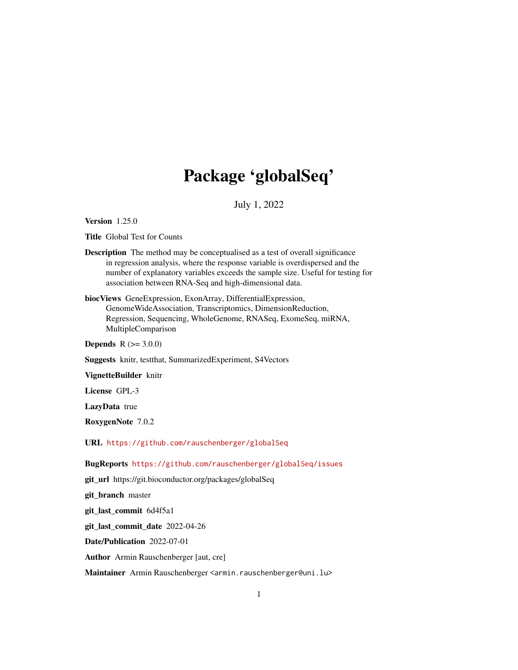## Package 'globalSeq'

July 1, 2022

<span id="page-0-0"></span>Version 1.25.0

Title Global Test for Counts

- Description The method may be conceptualised as a test of overall significance in regression analysis, where the response variable is overdispersed and the number of explanatory variables exceeds the sample size. Useful for testing for association between RNA-Seq and high-dimensional data.
- biocViews GeneExpression, ExonArray, DifferentialExpression, GenomeWideAssociation, Transcriptomics, DimensionReduction, Regression, Sequencing, WholeGenome, RNASeq, ExomeSeq, miRNA, MultipleComparison

**Depends**  $R (= 3.0.0)$ 

Suggests knitr, testthat, SummarizedExperiment, S4Vectors

VignetteBuilder knitr

License GPL-3

LazyData true

RoxygenNote 7.0.2

URL <https://github.com/rauschenberger/globalSeq>

BugReports <https://github.com/rauschenberger/globalSeq/issues>

git\_url https://git.bioconductor.org/packages/globalSeq

git\_branch master

git\_last\_commit 6d4f5a1

git\_last\_commit\_date 2022-04-26

Date/Publication 2022-07-01

Author Armin Rauschenberger [aut, cre]

Maintainer Armin Rauschenberger <armin.rauschenberger@uni.lu>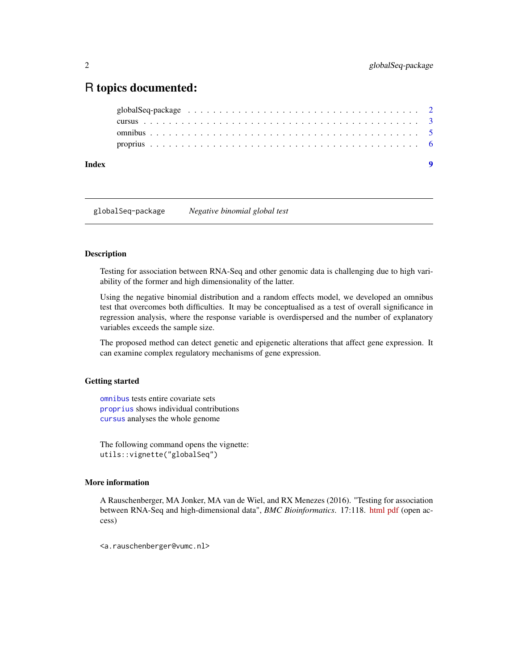## <span id="page-1-0"></span>R topics documented:

| Index |                                                                                                                  |  |
|-------|------------------------------------------------------------------------------------------------------------------|--|
|       |                                                                                                                  |  |
|       |                                                                                                                  |  |
|       |                                                                                                                  |  |
|       | globalSeq-package $\ldots \ldots \ldots \ldots \ldots \ldots \ldots \ldots \ldots \ldots \ldots \ldots \ldots 2$ |  |

globalSeq-package *Negative binomial global test*

#### <span id="page-1-1"></span>Description

Testing for association between RNA-Seq and other genomic data is challenging due to high variability of the former and high dimensionality of the latter.

Using the negative binomial distribution and a random effects model, we developed an omnibus test that overcomes both difficulties. It may be conceptualised as a test of overall significance in regression analysis, where the response variable is overdispersed and the number of explanatory variables exceeds the sample size.

The proposed method can detect genetic and epigenetic alterations that affect gene expression. It can examine complex regulatory mechanisms of gene expression.

#### Getting started

[omnibus](#page-4-1) tests entire covariate sets [proprius](#page-5-1) shows individual contributions [cursus](#page-2-1) analyses the whole genome

The following command opens the vignette: utils::vignette("globalSeq")

#### More information

A Rauschenberger, MA Jonker, MA van de Wiel, and RX Menezes (2016). "Testing for association between RNA-Seq and high-dimensional data", *BMC Bioinformatics*. 17:118. [html](http://dx.doi.org/10.1186/s12859-016-0961-5) [pdf](http://www.biomedcentral.com/content/pdf/s12859-016-0961-5.pdf) (open access)

<a.rauschenberger@vumc.nl>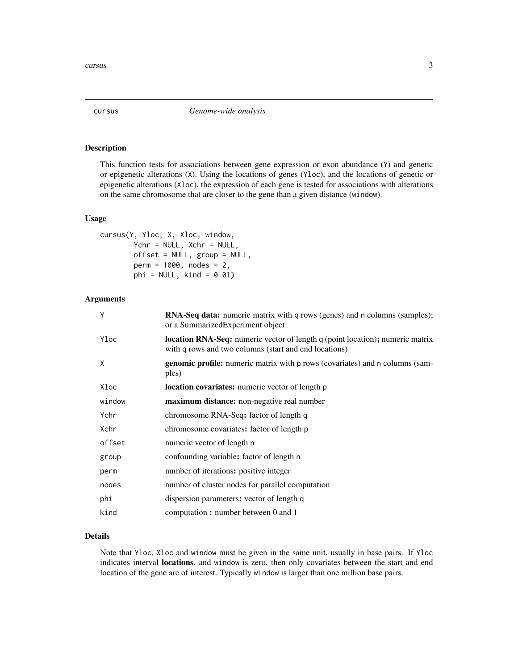<span id="page-2-1"></span><span id="page-2-0"></span>

#### Description

This function tests for associations between gene expression or exon abundance (Y) and genetic or epigenetic alterations (X). Using the locations of genes (Yloc), and the locations of genetic or epigenetic alterations (Xloc), the expression of each gene is tested for associations with alterations on the same chromosome that are closer to the gene than a given distance (window).

#### Usage

```
cursus(Y, Yloc, X, Xloc, window,
        Ychr = NULL, Xchr = NULL,
        offset = NULL, group = NULL,
        perm = 1000, nodes = 2,
        phi = NULL, kind = 0.01)
```
#### Arguments

| Y      | <b>RNA-Seq data:</b> numeric matrix with q rows (genes) and n columns (samples);<br>or a SummarizedExperiment object                   |
|--------|----------------------------------------------------------------------------------------------------------------------------------------|
| Yloc   | location RNA-Seq: numeric vector of length q (point location); numeric matrix<br>with q rows and two columns (start and end locations) |
| X      | <b>genomic profile:</b> numeric matrix with p rows (covariates) and n columns (sam-<br>ples)                                           |
| Xloc   | location covariates: numeric vector of length p                                                                                        |
| window | maximum distance: non-negative real number                                                                                             |
| Ychr   | chromosome RNA-Seq: factor of length q                                                                                                 |
| Xchr   | chromosome covariates: factor of length p                                                                                              |
| offset | numeric vector of length n                                                                                                             |
| group  | confounding variable: factor of length n                                                                                               |
| perm   | number of iterations: positive integer                                                                                                 |
| nodes  | number of cluster nodes for parallel computation                                                                                       |
| phi    | dispersion parameters: vector of length q                                                                                              |
| kind   | computation: number between 0 and 1                                                                                                    |
|        |                                                                                                                                        |

#### Details

Note that Yloc, Xloc and window must be given in the same unit, usually in base pairs. If Yloc indicates interval locations, and window is zero, then only covariates between the start and end location of the gene are of interest. Typically window is larger than one million base pairs.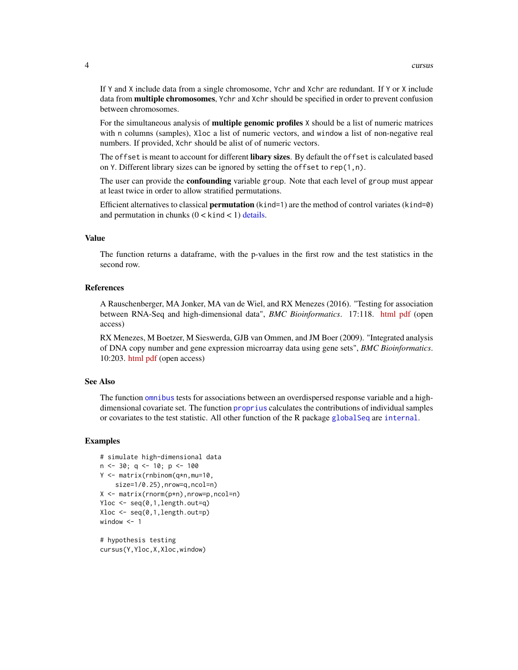<span id="page-3-0"></span>If Y and X include data from a single chromosome, Ychr and Xchr are redundant. If Y or X include data from **multiple chromosomes**, Ychr and Xchr should be specified in order to prevent confusion between chromosomes.

For the simultaneous analysis of **multiple genomic profiles** X should be a list of numeric matrices with n columns (samples), Xloc a list of numeric vectors, and window a list of non-negative real numbers. If provided, Xchr should be alist of of numeric vectors.

The offset is meant to account for different libary sizes. By default the offset is calculated based on Y. Different library sizes can be ignored by setting the offset to rep(1,n).

The user can provide the **confounding** variable group. Note that each level of group must appear at least twice in order to allow stratified permutations.

Efficient alternatives to classical **permutation** (kind=1) are the method of control variates (kind=0) and permutation in chunks  $(0 \lt kind \lt 1)$  [details.](#page-0-0)

#### Value

The function returns a dataframe, with the p-values in the first row and the test statistics in the second row.

#### References

A Rauschenberger, MA Jonker, MA van de Wiel, and RX Menezes (2016). "Testing for association between RNA-Seq and high-dimensional data", *BMC Bioinformatics*. 17:118. [html](http://dx.doi.org/10.1186/s12859-016-0961-5) [pdf](http://www.biomedcentral.com/content/pdf/s12859-016-0961-5.pdf) (open access)

RX Menezes, M Boetzer, M Sieswerda, GJB van Ommen, and JM Boer (2009). "Integrated analysis of DNA copy number and gene expression microarray data using gene sets", *BMC Bioinformatics*. 10:203. [html](http://dx.doi.org/10.1186/1471-2105-10-203) [pdf](http://www.biomedcentral.com/content/pdf/1471-2105-10-203.pdf) (open access)

#### See Also

The function [omnibus](#page-4-1) tests for associations between an overdispersed response variable and a highdimensional covariate set. The function [proprius](#page-5-1) calculates the contributions of individual samples or covariates to the test statistic. All other function of the R package [globalSeq](#page-1-1) are [internal](#page-0-0).

#### Examples

```
# simulate high-dimensional data
n \le -30; q \le -10; p \le -100Y <- matrix(rnbinom(q*n,mu=10,
    size=1/0.25),nrow=q,ncol=n)
X <- matrix(rnorm(p*n),nrow=p,ncol=n)
Yloc <- seq(0,1,length.out=q)
Xloc <- seq(0,1,length.out=p)
window <- 1
```
# hypothesis testing cursus(Y,Yloc,X,Xloc,window)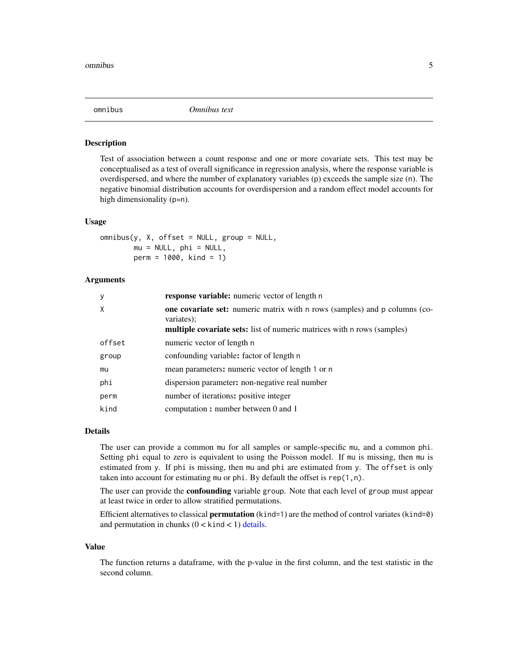<span id="page-4-1"></span><span id="page-4-0"></span>

#### Description

Test of association between a count response and one or more covariate sets. This test may be conceptualised as a test of overall significance in regression analysis, where the response variable is overdispersed, and where the number of explanatory variables (p) exceeds the sample size (n). The negative binomial distribution accounts for overdispersion and a random effect model accounts for high dimensionality (p»n).

#### Usage

 $omnibus(y, X, offset = NULL, group = NULL,$  $mu = NULL, phi = NULL,$ perm = 1000, kind = 1)

#### Arguments

| y      | <b>response variable:</b> numeric vector of length n                                                                                                                              |
|--------|-----------------------------------------------------------------------------------------------------------------------------------------------------------------------------------|
| X      | <b>one covariate set:</b> numeric matrix with n rows (samples) and p columns (co-<br>variates);<br><b>multiple covariate sets:</b> list of numeric matrices with n rows (samples) |
| offset | numeric vector of length n                                                                                                                                                        |
| group  | confounding variable: factor of length n                                                                                                                                          |
| mu     | mean parameters: numeric vector of length 1 or n                                                                                                                                  |
| phi    | dispersion parameter: non-negative real number                                                                                                                                    |
| perm   | number of iterations: positive integer                                                                                                                                            |
| kind   | computation: number between 0 and 1                                                                                                                                               |

#### Details

The user can provide a common mu for all samples or sample-specific mu, and a common phi. Setting phi equal to zero is equivalent to using the Poisson model. If mu is missing, then mu is estimated from y. If phi is missing, then mu and phi are estimated from y. The offset is only taken into account for estimating mu or phi. By default the offset is rep(1,n).

The user can provide the **confounding** variable group. Note that each level of group must appear at least twice in order to allow stratified permutations.

Efficient alternatives to classical **permutation** (kind=1) are the method of control variates (kind=0) and permutation in chunks  $(0 \lt kind \lt 1)$  [details.](#page-0-0)

#### Value

The function returns a dataframe, with the p-value in the first column, and the test statistic in the second column.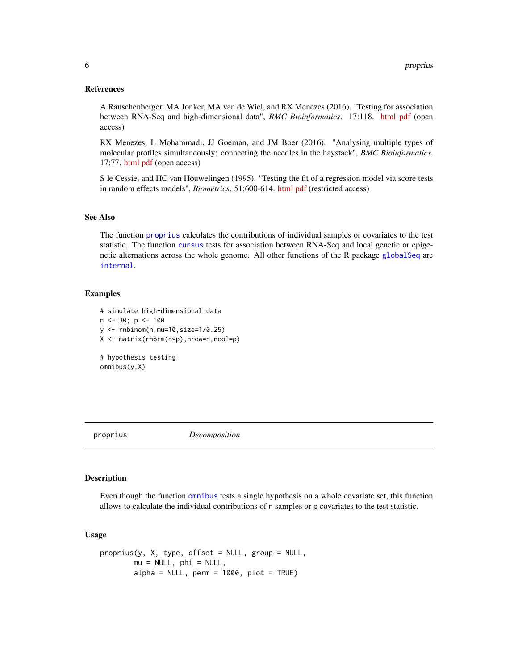#### <span id="page-5-0"></span>References

A Rauschenberger, MA Jonker, MA van de Wiel, and RX Menezes (2016). "Testing for association between RNA-Seq and high-dimensional data", *BMC Bioinformatics*. 17:118. [html](http://dx.doi.org/10.1186/s12859-016-0961-5) [pdf](http://www.biomedcentral.com/content/pdf/s12859-016-0961-5.pdf) (open access)

RX Menezes, L Mohammadi, JJ Goeman, and JM Boer (2016). "Analysing multiple types of molecular profiles simultaneously: connecting the needles in the haystack", *BMC Bioinformatics*. 17:77. [html](http://dx.doi.org/10.1186/s12859-016-0926-8) [pdf](http://www.biomedcentral.com/content/pdf/s12859-016-0926-8.pdf) (open access)

S le Cessie, and HC van Houwelingen (1995). "Testing the fit of a regression model via score tests in random effects models", *Biometrics*. 51:600-614. [html](http://dx.doi.org/10.2307/2532948) [pdf](http://www.jstor.org/stable/pdf/2532948.pdf?acceptTC=true) (restricted access)

#### See Also

The function [proprius](#page-5-1) calculates the contributions of individual samples or covariates to the test statistic. The function [cursus](#page-2-1) tests for association between RNA-Seq and local genetic or epigenetic alternations across the whole genome. All other functions of the R package [globalSeq](#page-1-1) are [internal](#page-0-0).

#### Examples

# simulate high-dimensional data n <- 30; p <- 100  $y \le -$  rnbinom(n,mu=10,size=1/0.25) X <- matrix(rnorm(n\*p),nrow=n,ncol=p) # hypothesis testing

<span id="page-5-1"></span>

omnibus(y,X)

proprius *Decomposition*

#### Description

Even though the function [omnibus](#page-4-1) tests a single hypothesis on a whole covariate set, this function allows to calculate the individual contributions of n samples or p covariates to the test statistic.

#### Usage

```
proprius(y, X, type, offset = NULL, group = NULL,mu = NULL, phi = NULL,
       alpha = NULL, perm = 1000, plot = TRUE)
```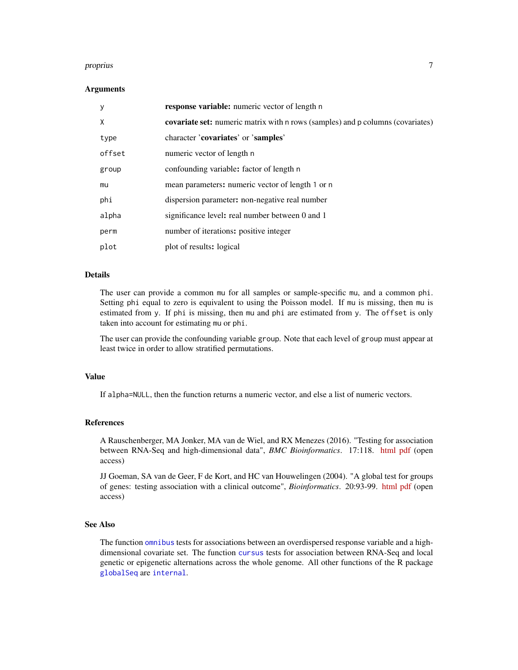#### <span id="page-6-0"></span>proprius that the contract of the contract of the contract of the contract of the contract of the contract of the contract of the contract of the contract of the contract of the contract of the contract of the contract of

#### Arguments

| y      | <b>response variable:</b> numeric vector of length n                                  |
|--------|---------------------------------------------------------------------------------------|
| X      | <b>covariate set:</b> numeric matrix with n rows (samples) and p columns (covariates) |
| type   | character 'covariates' or 'samples'                                                   |
| offset | numeric vector of length n                                                            |
| group  | confounding variable: factor of length n                                              |
| mu     | mean parameters: numeric vector of length 1 or n                                      |
| phi    | dispersion parameter: non-negative real number                                        |
| alpha  | significance level: real number between 0 and 1                                       |
| perm   | number of iterations: positive integer                                                |
| plot   | plot of results: logical                                                              |

#### Details

The user can provide a common mu for all samples or sample-specific mu, and a common phi. Setting phi equal to zero is equivalent to using the Poisson model. If mu is missing, then mu is estimated from y. If phi is missing, then mu and phi are estimated from y. The offset is only taken into account for estimating mu or phi.

The user can provide the confounding variable group. Note that each level of group must appear at least twice in order to allow stratified permutations.

#### Value

If alpha=NULL, then the function returns a numeric vector, and else a list of numeric vectors.

#### References

A Rauschenberger, MA Jonker, MA van de Wiel, and RX Menezes (2016). "Testing for association between RNA-Seq and high-dimensional data", *BMC Bioinformatics*. 17:118. [html](http://dx.doi.org/10.1186/s12859-016-0961-5) [pdf](http://www.biomedcentral.com/content/pdf/s12859-016-0961-5.pdf) (open access)

JJ Goeman, SA van de Geer, F de Kort, and HC van Houwelingen (2004). "A global test for groups of genes: testing association with a clinical outcome", *Bioinformatics*. 20:93-99. [html](http://dx.doi.org/10.1093/bioinformatics/btg382) [pdf](http://bioinformatics.oxfordjournals.org/content/20/1/93.full.pdf) (open access)

#### See Also

The function [omnibus](#page-4-1) tests for associations between an overdispersed response variable and a highdimensional covariate set. The function [cursus](#page-2-1) tests for association between RNA-Seq and local genetic or epigenetic alternations across the whole genome. All other functions of the R package [globalSeq](#page-1-1) are [internal](#page-0-0).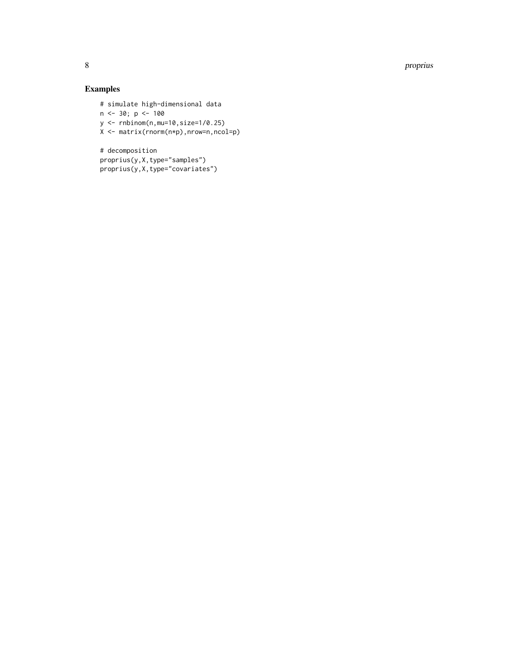8 proprius and the contract of the contract of the contract of the contract of the contract of the contract of the contract of the contract of the contract of the contract of the contract of the contract of the contract of

### Examples

# simulate high-dimensional data n <- 30; p <- 100 y <- rnbinom(n,mu=10,size=1/0.25) X <- matrix(rnorm(n\*p),nrow=n,ncol=p)

# decomposition proprius(y,X,type="samples") proprius(y,X,type="covariates")